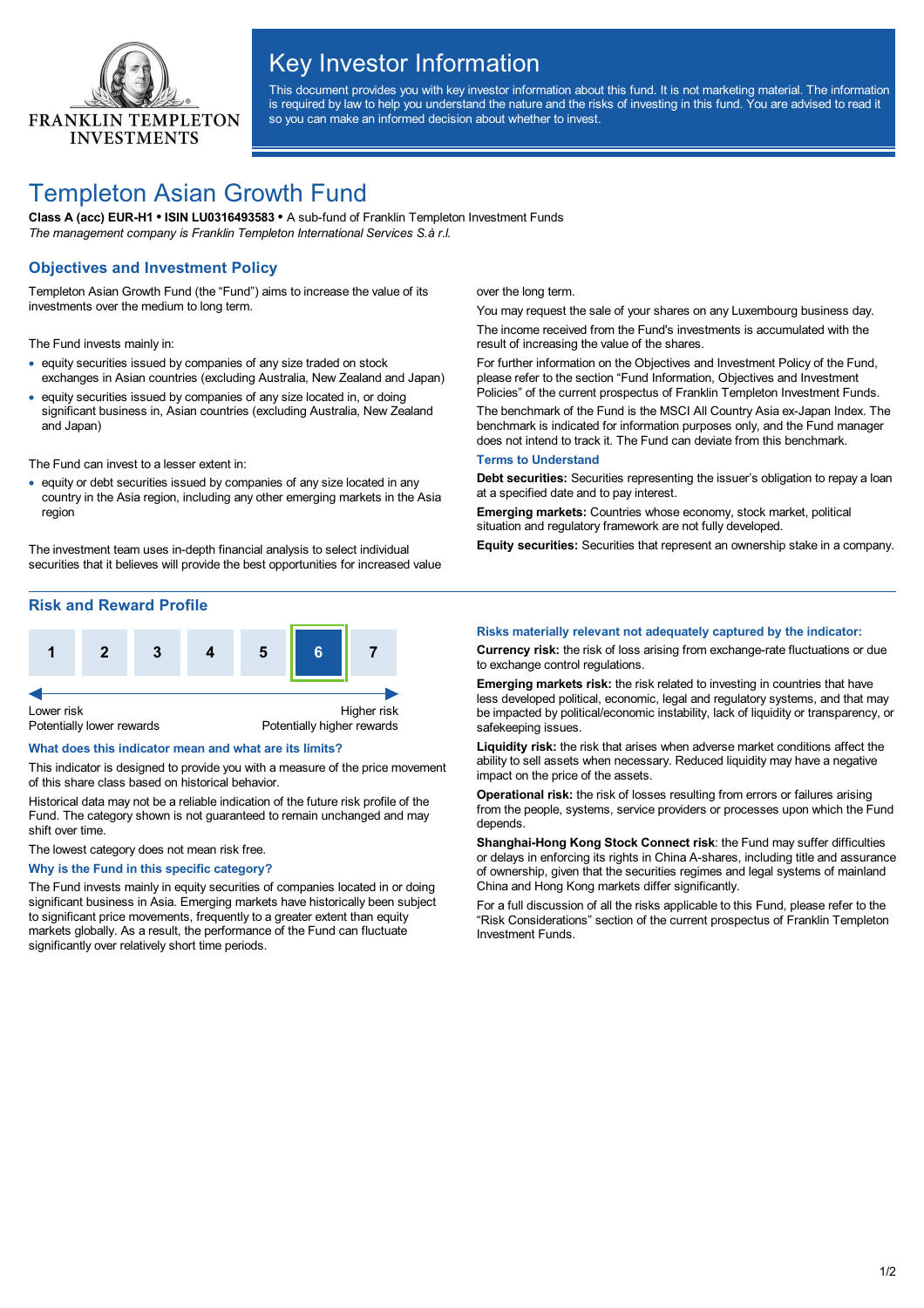

# Key Investor Information

This document provides you with key investor information about this fund. It is not marketing material. The information is required by law to help you understand the nature and the risks of investing in this fund. You are advised to read it so you can make an informed decision about whether to invest.

# Templeton Asian Growth Fund

**Class A (acc) EUR-H1 • ISIN LU0316493583 •** A sub-fund of Franklin Templeton Investment Funds *The management company is Franklin Templeton International Services S.à r.l.*

## **Objectives and Investment Policy**

Templeton Asian Growth Fund (the "Fund") aims to increase the value of its investments over the medium to long term.

The Fund invests mainly in:

- · equity securities issued by companies of any size traded on stock exchanges in Asian countries (excluding Australia, New Zealand and Japan)
- · equity securities issued by companies of any size located in, or doing significant business in, Asian countries (excluding Australia, New Zealand and Japan)

The Fund can invest to a lesser extent in:

· equity or debt securities issued by companies of any size located in any country in the Asia region, including any other emerging markets in the Asia region

The investment team uses in-depth financial analysis to select individual securities that it believes will provide the best opportunities for increased value

## **Risk and Reward Profile**



#### **What does this indicator mean and what are its limits?**

This indicator is designed to provide you with a measure of the price movement of this share class based on historical behavior.

Historical data may not be a reliable indication of the future risk profile of the Fund. The category shown is not guaranteed to remain unchanged and may shift over time.

The lowest category does not mean risk free.

**Why is the Fund in this specific category?**

The Fund invests mainly in equity securities of companies located in or doing significant business in Asia. Emerging markets have historically been subject to significant price movements, frequently to a greater extent than equity markets globally. As a result, the performance of the Fund can fluctuate significantly over relatively short time periods.

over the long term.

You may request the sale of your shares on any Luxembourg business day. The income received from the Fund's investments is accumulated with the result of increasing the value of the shares.

For further information on the Objectives and Investment Policy of the Fund, please refer to the section "Fund Information, Objectives and Investment Policies" of the current prospectus of Franklin Templeton Investment Funds.

The benchmark of the Fund is the MSCI All Country Asia ex-Japan Index. The benchmark is indicated for information purposes only, and the Fund manager does not intend to track it. The Fund can deviate from this benchmark.

#### **Terms to Understand**

**Debt securities:** Securities representing the issuer's obligation to repay a loan at a specified date and to pay interest.

**Emerging markets:** Countries whose economy, stock market, political situation and regulatory framework are not fully developed.

**Equity securities:** Securities that represent an ownership stake in a company.

### **Risks materially relevant not adequately captured by the indicator:**

**Currency risk:** the risk of loss arising from exchange-rate fluctuations or due to exchange control regulations.

**Emerging markets risk:** the risk related to investing in countries that have less developed political, economic, legal and regulatory systems, and that may be impacted by political/economic instability, lack of liquidity or transparency, or safekeeping issues.

**Liquidity risk:** the risk that arises when adverse market conditions affect the ability to sell assets when necessary. Reduced liquidity may have a negative impact on the price of the assets.

**Operational risk:** the risk of losses resulting from errors or failures arising from the people, systems, service providers or processes upon which the Fund depends.

**Shanghai-Hong Kong Stock Connect risk**: the Fund may suffer difficulties or delays in enforcing its rights in China A-shares, including title and assurance of ownership, given that the securities regimes and legal systems of mainland China and Hong Kong markets differ significantly.

For a full discussion of all the risks applicable to this Fund, please refer to the "Risk Considerations" section of the current prospectus of Franklin Templeton Investment Funds.